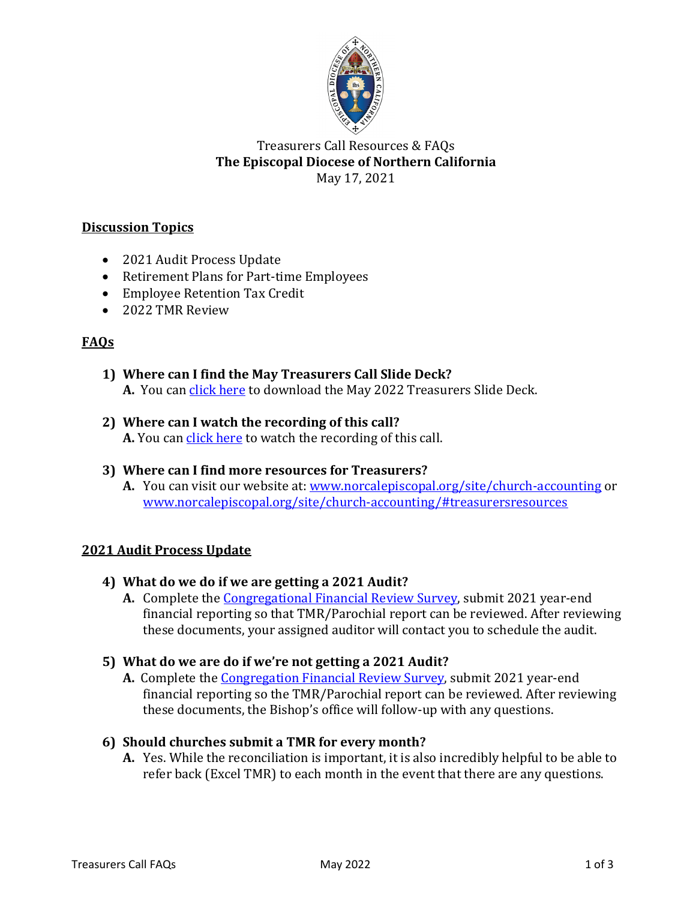

### Treasurers Call Resources & FAQs **The Episcopal Diocese of Northern California** May 17, 2021

# **Discussion Topics**

- 2021 Audit Process Update
- Retirement Plans for Part-time Employees
- Employee Retention Tax Credit
- 2022 TMR Review

### **FAQs**

**1) Where can I find the May Treasurers Call Slide Deck? A.** You can click here to download the May 2022 Treasurers Slide Deck.

### **2) Where can I watch the recording of this call? A.** You can click here to watch the recording of this call.

### **3) Where can I find more resources for Treasurers?**

**A.** You can visit our website at: www.norcalepiscopal.org/site/church-accounting or www.norcalepiscopal.org/site/church-accounting/#treasurersresources

### **2021 Audit Process Update**

- **4) What do we do if we are getting a 2021 Audit?**
	- **A.** Complete the Congregational Financial Review Survey, submit 2021 year-end financial reporting so that TMR/Parochial report can be reviewed. After reviewing these documents, your assigned auditor will contact you to schedule the audit.

### **5) What do we are do if we're not getting a 2021 Audit?**

**A.** Complete the Congregation Financial Review Survey, submit 2021 year-end financial reporting so the TMR/Parochial report can be reviewed. After reviewing these documents, the Bishop's office will follow-up with any questions.

### **6) Should churches submit a TMR for every month?**

**A.** Yes. While the reconciliation is important, it is also incredibly helpful to be able to refer back (Excel TMR) to each month in the event that there are any questions.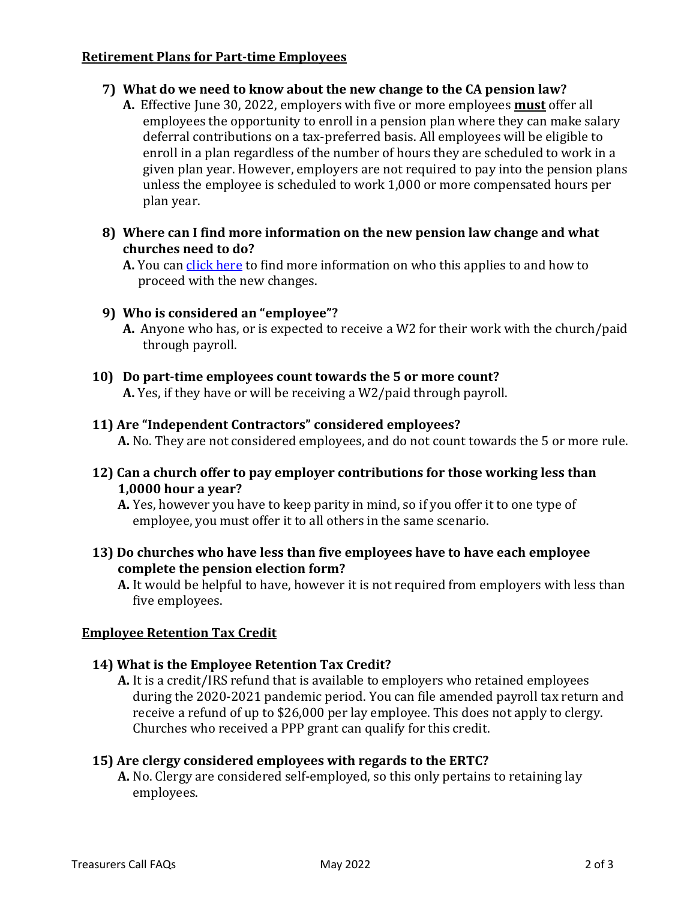#### **Retirement Plans for Part-time Employees**

### **7) What do we need to know about the new change to the CA pension law?**

**A.** Effective June 30, 2022, employers with five or more employees **must** offer all employees the opportunity to enroll in a pension plan where they can make salary deferral contributions on a tax-preferred basis. All employees will be eligible to enroll in a plan regardless of the number of hours they are scheduled to work in a given plan year. However, employers are not required to pay into the pension plans unless the employee is scheduled to work 1,000 or more compensated hours per plan year.

#### **8) Where can I find more information on the new pension law change and what churches need to do?**

**A.** You can click here to find more information on who this applies to and how to proceed with the new changes.

### **9) Who is considered an "employee"?**

**A.** Anyone who has, or is expected to receive a W2 for their work with the church/paid through payroll.

## **10) Do part-time employees count towards the 5 or more count? A.** Yes, if they have or will be receiving a W2/paid through payroll.

### **11) Are "Independent Contractors" considered employees?**

**A.** No. They are not considered employees, and do not count towards the 5 or more rule.

### **12) Can a church offer to pay employer contributions for those working less than 1,0000 hour a year?**

**A.** Yes, however you have to keep parity in mind, so if you offer it to one type of employee, you must offer it to all others in the same scenario.

### **13) Do churches who have less than five employees have to have each employee complete the pension election form?**

**A.** It would be helpful to have, however it is not required from employers with less than five employees.

### **Employee Retention Tax Credit**

### **14) What is the Employee Retention Tax Credit?**

**A.** It is a credit/IRS refund that is available to employers who retained employees during the 2020-2021 pandemic period. You can file amended payroll tax return and receive a refund of up to \$26,000 per lay employee. This does not apply to clergy. Churches who received a PPP grant can qualify for this credit.

#### **15) Are clergy considered employees with regards to the ERTC?**

**A.** No. Clergy are considered self-employed, so this only pertains to retaining lay employees.